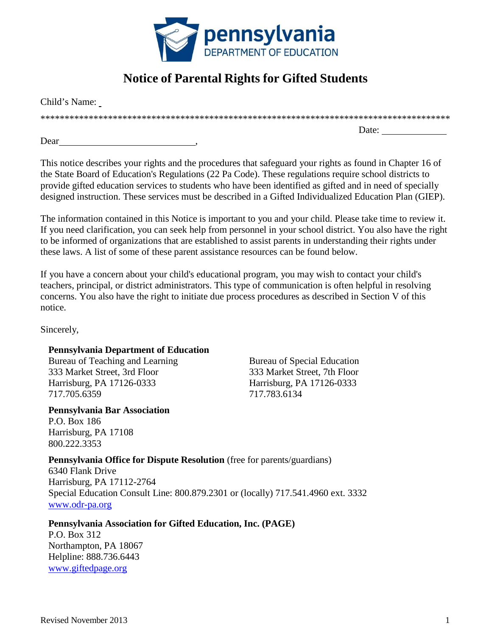

# **Notice of Parental Rights for Gifted Students**

Child's Name: \*\*\*\*\*\*\*\*\*\*\*\*\*\*\*\*\*\*\*\*\*\*\*\*\*\*\*\*\*\*\*\*\*\*\*\*\*\*\*\*\*\*\*\*\*\*\*\*\*\*\*\*\*\*\*\*\*\*\*\*\*\*\*\*\*\*\*\*\*\*\*\*\*\*\*\*\*\*\*\*\*\*\*\*\* Date:  $\frac{1}{\sqrt{1-\frac{1}{2}} \cdot \frac{1}{2}}$ 

Dear

This notice describes your rights and the procedures that safeguard your rights as found in Chapter 16 of the State Board of Education's Regulations (22 Pa Code). These regulations require school districts to provide gifted education services to students who have been identified as gifted and in need of specially designed instruction. These services must be described in a Gifted Individualized Education Plan (GIEP).

The information contained in this Notice is important to you and your child. Please take time to review it. If you need clarification, you can seek help from personnel in your school district. You also have the right to be informed of organizations that are established to assist parents in understanding their rights under these laws. A list of some of these parent assistance resources can be found below.

If you have a concern about your child's educational program, you may wish to contact your child's teachers, principal, or district administrators. This type of communication is often helpful in resolving concerns. You also have the right to initiate due process procedures as described in Section V of this notice.

Sincerely,

### **Pennsylvania Department of Education**

Bureau of Teaching and Learning 333 Market Street, 3rd Floor Harrisburg, PA 17126-0333 717.705.6359

**Pennsylvania Bar Association** P.O. Box 186 Harrisburg, PA 17108 800.222.3353

Bureau of Special Education 333 Market Street, 7th Floor Harrisburg, PA 17126-0333 717.783.6134

### **Pennsylvania Office for Dispute Resolution** (free for parents/guardians)

6340 Flank Drive Harrisburg, PA 17112-2764 Special Education Consult Line: 800.879.2301 or (locally) 717.541.4960 ext. 3332 [www.odr-pa.org](http://www.odr-pa.org/)

**Pennsylvania Association for Gifted Education, Inc. (PAGE)**

P.O. Box 312 Northampton, PA 18067 Helpline: 888.736.6443 [www.giftedpage.org](http://www.giftedpage.org/)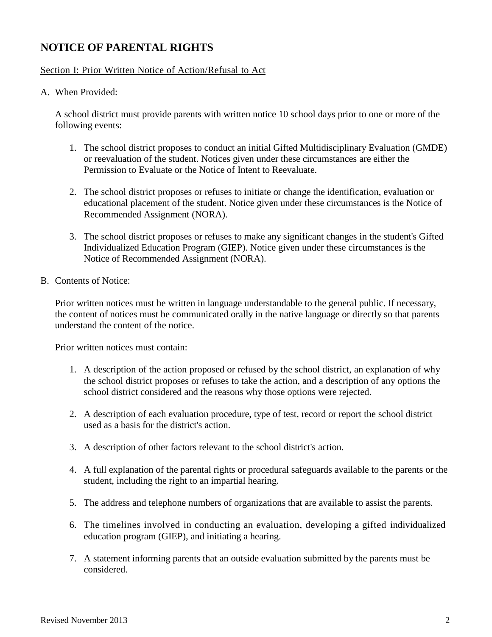## **NOTICE OF PARENTAL RIGHTS**

#### Section I: Prior Written Notice of Action/Refusal to Act

A. When Provided:

A school district must provide parents with written notice 10 school days prior to one or more of the following events:

- 1. The school district proposes to conduct an initial Gifted Multidisciplinary Evaluation (GMDE) or reevaluation of the student. Notices given under these circumstances are either the Permission to Evaluate or the Notice of Intent to Reevaluate.
- 2. The school district proposes or refuses to initiate or change the identification, evaluation or educational placement of the student. Notice given under these circumstances is the Notice of Recommended Assignment (NORA).
- 3. The school district proposes or refuses to make any significant changes in the student's Gifted Individualized Education Program (GIEP). Notice given under these circumstances is the Notice of Recommended Assignment (NORA).
- B. Contents of Notice:

Prior written notices must be written in language understandable to the general public. If necessary, the content of notices must be communicated orally in the native language or directly so that parents understand the content of the notice.

Prior written notices must contain:

- 1. A description of the action proposed or refused by the school district, an explanation of why the school district proposes or refuses to take the action, and a description of any options the school district considered and the reasons why those options were rejected.
- 2. A description of each evaluation procedure, type of test, record or report the school district used as a basis for the district's action.
- 3. A description of other factors relevant to the school district's action.
- 4. A full explanation of the parental rights or procedural safeguards available to the parents or the student, including the right to an impartial hearing.
- 5. The address and telephone numbers of organizations that are available to assist the parents.
- 6. The timelines involved in conducting an evaluation, developing a gifted individualized education program (GIEP), and initiating a hearing.
- 7. A statement informing parents that an outside evaluation submitted by the parents must be considered.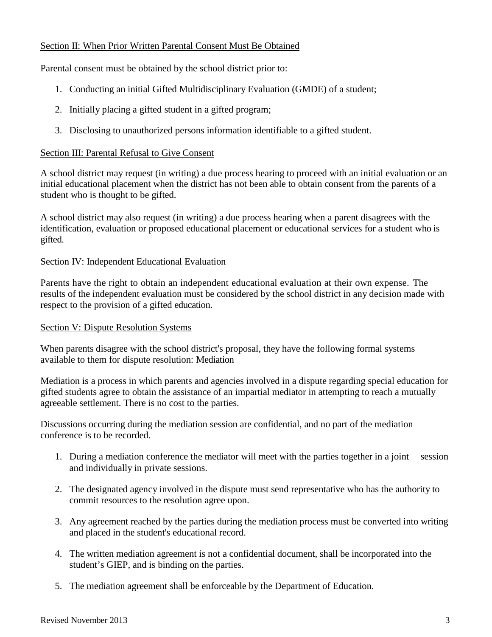#### Section II: When Prior Written Parental Consent Must Be Obtained

Parental consent must be obtained by the school district prior to:

- 1. Conducting an initial Gifted Multidisciplinary Evaluation (GMDE) of a student;
- 2. Initially placing a gifted student in a gifted program;
- 3. Disclosing to unauthorized persons information identifiable to a gifted student.

#### Section III: Parental Refusal to Give Consent

A school district may request (in writing) a due process hearing to proceed with an initial evaluation or an initial educational placement when the district has not been able to obtain consent from the parents of a student who is thought to be gifted.

A school district may also request (in writing) a due process hearing when a parent disagrees with the identification, evaluation or proposed educational placement or educational services for a student who is gifted.

#### Section IV: Independent Educational Evaluation

Parents have the right to obtain an independent educational evaluation at their own expense. The results of the independent evaluation must be considered by the school district in any decision made with respect to the provision of a gifted education.

#### Section V: Dispute Resolution Systems

When parents disagree with the school district's proposal, they have the following formal systems available to them for dispute resolution: Mediation

Mediation is a process in which parents and agencies involved in a dispute regarding special education for gifted students agree to obtain the assistance of an impartial mediator in attempting to reach a mutually agreeable settlement. There is no cost to the parties.

Discussions occurring during the mediation session are confidential, and no part of the mediation conference is to be recorded.

- 1. During a mediation conference the mediator will meet with the parties together in a joint session and individually in private sessions.
- 2. The designated agency involved in the dispute must send representative who has the authority to commit resources to the resolution agree upon.
- 3. Any agreement reached by the parties during the mediation process must be converted into writing and placed in the student's educational record.
- 4. The written mediation agreement is not a confidential document, shall be incorporated into the student's GIEP, and is binding on the parties.
- 5. The mediation agreement shall be enforceable by the Department of Education.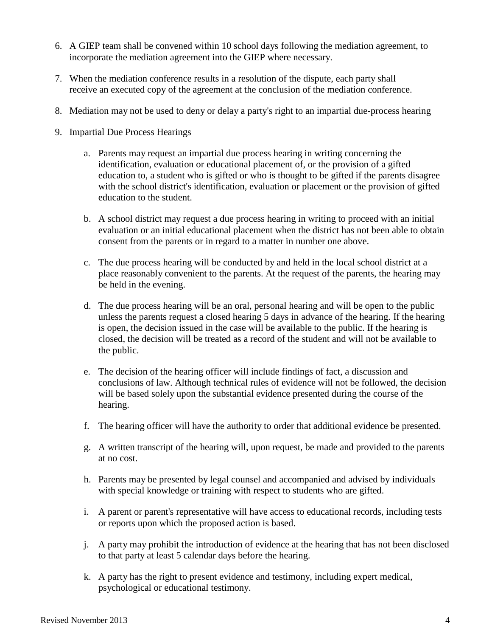- 6. A GIEP team shall be convened within 10 school days following the mediation agreement, to incorporate the mediation agreement into the GIEP where necessary.
- 7. When the mediation conference results in a resolution of the dispute, each party shall receive an executed copy of the agreement at the conclusion of the mediation conference.
- 8. Mediation may not be used to deny or delay a party's right to an impartial due-process hearing
- 9. Impartial Due Process Hearings
	- a. Parents may request an impartial due process hearing in writing concerning the identification, evaluation or educational placement of, or the provision of a gifted education to, a student who is gifted or who is thought to be gifted if the parents disagree with the school district's identification, evaluation or placement or the provision of gifted education to the student.
	- b. A school district may request a due process hearing in writing to proceed with an initial evaluation or an initial educational placement when the district has not been able to obtain consent from the parents or in regard to a matter in number one above.
	- c. The due process hearing will be conducted by and held in the local school district at a place reasonably convenient to the parents. At the request of the parents, the hearing may be held in the evening.
	- d. The due process hearing will be an oral, personal hearing and will be open to the public unless the parents request a closed hearing 5 days in advance of the hearing. If the hearing is open, the decision issued in the case will be available to the public. If the hearing is closed, the decision will be treated as a record of the student and will not be available to the public.
	- e. The decision of the hearing officer will include findings of fact, a discussion and conclusions of law. Although technical rules of evidence will not be followed, the decision will be based solely upon the substantial evidence presented during the course of the hearing.
	- f. The hearing officer will have the authority to order that additional evidence be presented.
	- g. A written transcript of the hearing will, upon request, be made and provided to the parents at no cost.
	- h. Parents may be presented by legal counsel and accompanied and advised by individuals with special knowledge or training with respect to students who are gifted.
	- i. A parent or parent's representative will have access to educational records, including tests or reports upon which the proposed action is based.
	- j. A party may prohibit the introduction of evidence at the hearing that has not been disclosed to that party at least 5 calendar days before the hearing.
	- k. A party has the right to present evidence and testimony, including expert medical, psychological or educational testimony.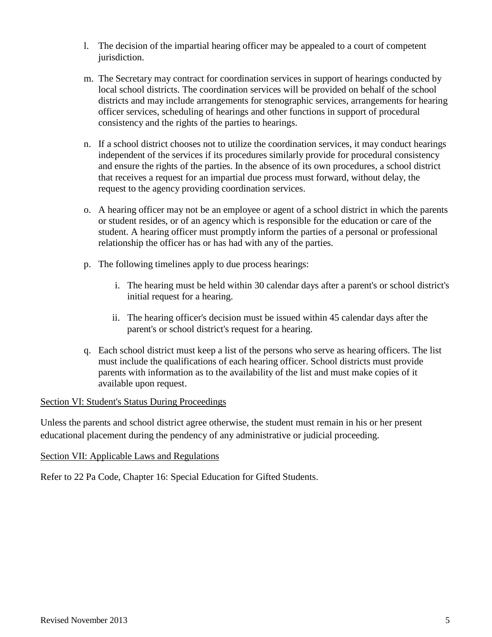- l. The decision of the impartial hearing officer may be appealed to a court of competent jurisdiction.
- m. The Secretary may contract for coordination services in support of hearings conducted by local school districts. The coordination services will be provided on behalf of the school districts and may include arrangements for stenographic services, arrangements for hearing officer services, scheduling of hearings and other functions in support of procedural consistency and the rights of the parties to hearings.
- n. If a school district chooses not to utilize the coordination services, it may conduct hearings independent of the services if its procedures similarly provide for procedural consistency and ensure the rights of the parties. In the absence of its own procedures, a school district that receives a request for an impartial due process must forward, without delay, the request to the agency providing coordination services.
- o. A hearing officer may not be an employee or agent of a school district in which the parents or student resides, or of an agency which is responsible for the education or care of the student. A hearing officer must promptly inform the parties of a personal or professional relationship the officer has or has had with any of the parties.
- p. The following timelines apply to due process hearings:
	- i. The hearing must be held within 30 calendar days after a parent's or school district's initial request for a hearing.
	- ii. The hearing officer's decision must be issued within 45 calendar days after the parent's or school district's request for a hearing.
- q. Each school district must keep a list of the persons who serve as hearing officers. The list must include the qualifications of each hearing officer. School districts must provide parents with information as to the availability of the list and must make copies of it available upon request.

#### Section VI: Student's Status During Proceedings

Unless the parents and school district agree otherwise, the student must remain in his or her present educational placement during the pendency of any administrative or judicial proceeding.

#### Section VII: Applicable Laws and Regulations

Refer to 22 Pa Code, Chapter 16: Special Education for Gifted Students.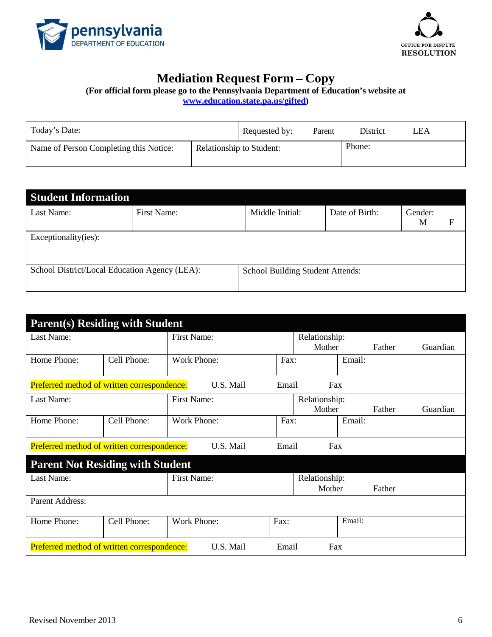



# **Mediation Request Form – Copy**

**(For official form please go to the Pennsylvania Department of Education's website at**

**[www.education.state.pa.us/gifted\)](http://www.education.state.pa.us/gifted)**

| Today's Date:                          |                                 | Requested by: | Parent | District | LEA |
|----------------------------------------|---------------------------------|---------------|--------|----------|-----|
| Name of Person Completing this Notice: | <b>Relationship to Student:</b> |               |        | Phone:   |     |

| <b>Student Information</b>                    |             |                                  |                |              |   |
|-----------------------------------------------|-------------|----------------------------------|----------------|--------------|---|
| Last Name:                                    | First Name: | Middle Initial:                  | Date of Birth: | Gender:<br>M | F |
| Exceptionality(ies):                          |             |                                  |                |              |   |
| School District/Local Education Agency (LEA): |             | School Building Student Attends: |                |              |   |

| <b>Parent(s) Residing with Student</b>                                   |             |                    |      |               |        |        |          |
|--------------------------------------------------------------------------|-------------|--------------------|------|---------------|--------|--------|----------|
| Last Name:                                                               |             | First Name:        |      | Relationship: |        |        |          |
|                                                                          |             |                    |      | Mother        |        | Father | Guardian |
| Home Phone:                                                              | Cell Phone: | Work Phone:        | Fax: |               | Email: |        |          |
|                                                                          |             |                    |      |               |        |        |          |
| Preferred method of written correspondence:<br>U.S. Mail<br>Email<br>Fax |             |                    |      |               |        |        |          |
| Last Name:                                                               |             | First Name:        |      | Relationship: |        |        |          |
|                                                                          |             |                    |      | Mother        |        | Father | Guardian |
| Home Phone:                                                              | Cell Phone: | Work Phone:        | Fax: |               | Email: |        |          |
|                                                                          |             |                    |      |               |        |        |          |
| Preferred method of written correspondence:<br>U.S. Mail<br>Fax<br>Email |             |                    |      |               |        |        |          |
| <b>Parent Not Residing with Student</b>                                  |             |                    |      |               |        |        |          |
| Last Name:                                                               |             | <b>First Name:</b> |      | Relationship: |        |        |          |
|                                                                          |             |                    |      | Mother        |        | Father |          |
| Parent Address:                                                          |             |                    |      |               |        |        |          |
| Home Phone:                                                              | Cell Phone: | <b>Work Phone:</b> | Fax: |               | Email: |        |          |
|                                                                          |             |                    |      |               |        |        |          |
|                                                                          |             |                    |      |               |        |        |          |
| Preferred method of written correspondence:<br>U.S. Mail<br>Email<br>Fax |             |                    |      |               |        |        |          |